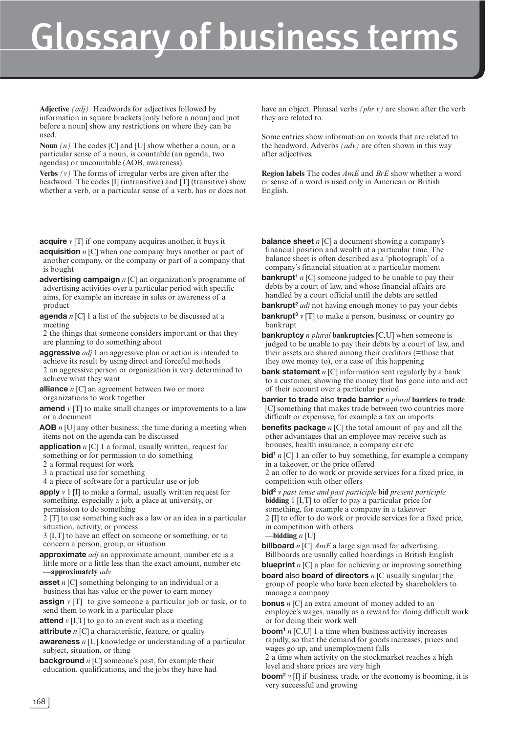## **Glossary of business terms**

**Adjective** *(adj)* Headwords for adjectives followed by information in square brackets [only before a noun] and [not before a noun] show any restrictions on where they can be used.

**Noun** *(n)* The codes [C] and [U] show whether a noun, or a particular sense of a noun, is countable (an agenda, two agendas) or uncountable (AOB, awareness).

**Verbs** *(v)* The forms of irregular verbs are given after the headword. The codes [I] (intransitive) and [T] (transitive) show whether a verb, or a particular sense of a verb, has or does not

**acquire** *v* [T] if one company acquires another, it buys it

- **acquisition** *n* [C] when one company buys another or part of another company, or the company or part of a company that is bought
- **advertising campaign** *n* [C] an organization's programme of advertising activities over a particular period with specific aims, for example an increase in sales or awareness of a product
- **agenda** *n* [C] 1 a list of the subjects to be discussed at a meeting
- 2 the things that someone considers important or that they are planning to do something about
- **aggressive** *adj* 1 an aggressive plan or action is intended to achieve its result by using direct and forceful methods 2 an aggressive person or organization is very determined to achieve what they want
- **alliance** *n* [C] an agreement between two or more organizations to work together
- **amend** *v* [T] to make small changes or improvements to a law or a document
- **AOB** *n* [U] any other business; the time during a meeting when items not on the agenda can be discussed
- **application** *n* [C] 1 a formal, usually written, request for
- something or for permission to do something
- 2 a formal request for work
- 3 a practical use for something
- 4 a piece of software for a particular use or job
- **apply** *v* 1 [I] to make a formal, usually written request for something, especially a job, a place at university, or permission to do something
- 2 [T] to use something such as a law or an idea in a particular situation, activity, or process
- 3 [I,T] to have an effect on someone or something, or to concern a person, group, or situation
- **approximate** *adj* an approximate amount, number etc is a little more or a little less than the exact amount, number etc —**approximately** *adv*
- **asset** *n* [C] something belonging to an individual or a business that has value or the power to earn money
- **assign** *v* [T] to give someone a particular job or task, or to send them to work in a particular place
- **attend**  $v$  [I,T] to go to an event such as a meeting
- **attribute** *n* [C] a characteristic, feature, or quality
- **awareness** *n* [U] knowledge or understanding of a particular subject, situation, or thing

**background** *n* [C] someone's past, for example their education, qualifications, and the jobs they have had have an object. Phrasal verbs *(phr v)* are shown after the verb they are related to.

Some entries show information on words that are related to the headword. Adverbs *(adv)* are often shown in this way after adjectives.

**Region labels** The codes *AmE* and *BrE* show whether a word or sense of a word is used only in American or British English.

- **balance sheet** *n* [C] a document showing a company's financial position and wealth at a particular time. The balance sheet is often described as a 'photograph' of a company's financial situation at a particular moment
- **bankrupt<sup>1</sup>** *n* [C] someone judged to be unable to pay their debts by a court of law, and whose financial affairs are handled by a court official until the debts are settled
- **bankrupt<sup>2</sup>** *adj* not having enough money to pay your debts **bankrupt<sup>3</sup>**  $\nu$  [T] to make a person, business, or country go bankrupt
- **bankruptcy** *n plural* **bankruptcies** [C,U] when someone is judged to be unable to pay their debts by a court of law, and their assets are shared among their creditors (=those that they owe money to), or a case of this happening
- **bank statement** *n* [C] information sent regularly by a bank to a customer, showing the money that has gone into and out of their account over a particular period
- **barrier to trade** also **trade barrier** *n plural* **barriers to trade** [C] something that makes trade between two countries more difficult or expensive, for example a tax on imports
- **benefits package** *n* [C] the total amount of pay and all the other advantages that an employee may receive such as bonuses, health insurance, a company car etc
- **bid<sup>1</sup>** *n* [C] 1 an offer to buy something, for example a company in a takeover, or the price offered
- 2 an offer to do work or provide services for a fixed price, in competition with other offers
- **bid2** *v past tense and past participle* **bid** *present participle* **bidding** 1 [I,T] to offer to pay a particular price for something, for example a company in a takeover 2 [I] to offer to do work or provide services for a fixed price, in competition with others

—**bidding** *n* [U]

- **billboard** *n* [C] *AmE* a large sign used for advertising. Billboards are usually called hoardings in British English
- **blueprint** *n* [C] a plan for achieving or improving something
- **board** also **board of directors** *n* [C usually singular] the group of people who have been elected by shareholders to manage a company
- **bonus** *n* [C] an extra amount of money added to an employee's wages, usually as a reward for doing difficult work or for doing their work well
- **boom**<sup>1</sup> *n* [C,U] 1 a time when business activity increases rapidly, so that the demand for goods increases, prices and wages go up, and unemployment falls

2 a time when activity on the stockmarket reaches a high level and share prices are very high

**boom<sup>2</sup>**  $\nu$  [I] if business, trade, or the economy is booming, it is very successful and growing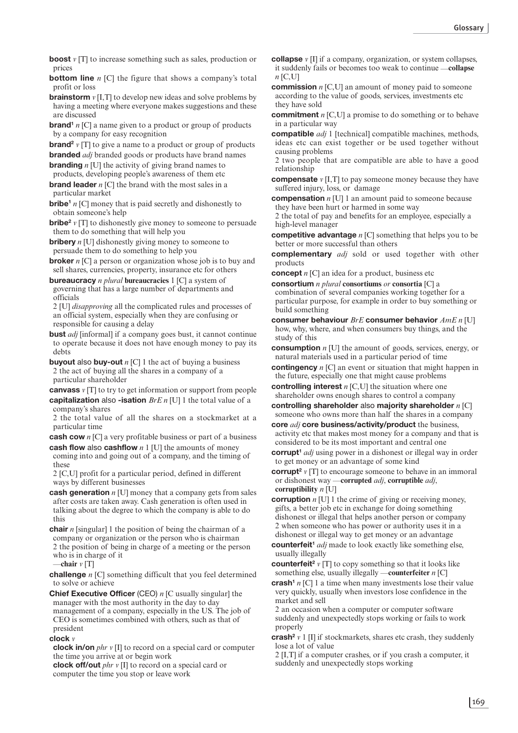**boost** *v* [T] to increase something such as sales, production or prices

**bottom line** *n* [C] the figure that shows a company's total profit or loss

**brainstorm** *v* [I,T] to develop new ideas and solve problems by having a meeting where everyone makes suggestions and these are discussed

**brand<sup>1</sup>** *n* [C] a name given to a product or group of products by a company for easy recognition

**brand**<sup>2</sup>  $\nu$  [T] to give a name to a product or group of products **branded** *adj* branded goods or products have brand names

**branding** *n* [U] the activity of giving brand names to products, developing people's awareness of them etc

**brand leader** *n* [C] the brand with the most sales in a particular market

**bribe<sup>1</sup>** *n* [C] money that is paid secretly and dishonestly to obtain someone's help

**bribe<sup>2</sup>**  $\nu$  [T] to dishonestly give money to someone to persuade them to do something that will help you

**bribery** *n* [U] dishonestly giving money to someone to persuade them to do something to help you

**broker** *n* [C] a person or organization whose job is to buy and sell shares, currencies, property, insurance etc for others

**bureaucracy** *n plural* **bureaucracies** 1 [C] a system of governing that has a large number of departments and officials

2 [U] *disapproving* all the complicated rules and processes of an official system, especially when they are confusing or responsible for causing a delay

**bust** *adj* [informal] if a company goes bust, it cannot continue to operate because it does not have enough money to pay its debts

**buyout** also **buy-out** *n* [C] 1 the act of buying a business 2 the act of buying all the shares in a company of a particular shareholder

**canvass** *v* [T] to try to get information or support from people **capitalization** also **-isation** *BrE n* [U] 1 the total value of a

company's shares

2 the total value of all the shares on a stockmarket at a particular time

**cash cow** *n* [C] a very profitable business or part of a business

**cash flow** also **cashflow** *n* 1 [U] the amounts of money coming into and going out of a company, and the timing of these

2 [C,U] profit for a particular period, defined in different ways by different businesses

**cash generation** *n* [U] money that a company gets from sales after costs are taken away. Cash generation is often used in talking about the degree to which the company is able to do this

**chair** *n* [singular] 1 the position of being the chairman of a company or organization or the person who is chairman 2 the position of being in charge of a meeting or the person who is in charge of it —**chair** *v* [T]

**challenge** *n* [C] something difficult that you feel determined to solve or achieve

**Chief Executive Officer** (CEO) *n* [C usually singular] the manager with the most authority in the day to day management of a company, especially in the US. The job of CEO is sometimes combined with others, such as that of president

**clock** *v*

**clock in/on** *phr v* [I] to record on a special card or computer the time you arrive at or begin work

**clock off/out** *phr v* [I] to record on a special card or computer the time you stop or leave work

**collapse** *v* [I] if a company, organization, or system collapses, it suddenly fails or becomes too weak to continue —**collapse** *n* [C,U]

**commission** *n* [C,U] an amount of money paid to someone according to the value of goods, services, investments etc they have sold

**commitment** *n* [C,U] a promise to do something or to behave in a particular way

**compatible** *adj* 1 [technical] compatible machines, methods, ideas etc can exist together or be used together without causing problems

2 two people that are compatible are able to have a good relationship

**compensate** *v* [I,T] to pay someone money because they have suffered injury, loss, or damage

**compensation** *n* [U] 1 an amount paid to someone because they have been hurt or harmed in some way

2 the total of pay and benefits for an employee, especially a high-level manager

**competitive advantage** *n* [C] something that helps you to be better or more successful than others

**complementary** *adj* sold or used together with other products

**concept** *n* [C] an idea for a product, business etc

**consortium** *n plural* **consortiums** *or* **consortia** [C] a combination of several companies working together for a particular purpose, for example in order to buy something or build something

**consumer behaviour** *BrE* **consumer behavior** *AmE n* [U] how, why, where, and when consumers buy things, and the study of this

**consumption** *n* [U] the amount of goods, services, energy, or natural materials used in a particular period of time

**contingency** *n* [C] an event or situation that might happen in the future, especially one that might cause problems

**controlling interest** *n* [C,U] the situation where one shareholder owns enough shares to control a company

**controlling shareholder** also **majority shareholder** *n* [C] someone who owns more than half the shares in a company

**core** *adj* **core business/activity/product** the business, activity etc that makes most money for a company and that is considered to be its most important and central one

**corrupt<sup>1</sup>** *adj* using power in a dishonest or illegal way in order to get money or an advantage of some kind

**corrupt<sup>2</sup>** *v* [T] to encourage someone to behave in an immoral or dishonest way —**corrupted** *adj*, **corruptible** *adj*, **corruptibility** *n* [U]

**corruption** *n* [U] 1 the crime of giving or receiving money, gifts, a better job etc in exchange for doing something dishonest or illegal that helps another person or company 2 when someone who has power or authority uses it in a dishonest or illegal way to get money or an advantage

**counterfeit**<sup>1</sup> *adj* made to look exactly like something else, usually illegally

**counterfeit<sup>2</sup>**  $\nu$  [T] to copy something so that it looks like something else, usually illegally —**counterfeiter** *n* [C]

**crash<sup>1</sup>** *n* [C] 1 a time when many investments lose their value very quickly, usually when investors lose confidence in the market and sell

2 an occasion when a computer or computer software suddenly and unexpectedly stops working or fails to work properly

**crash**<sup>2</sup>  $\nu$  1 [I] if stockmarkets, shares etc crash, they suddenly lose a lot of value

2 [I,T] if a computer crashes, or if you crash a computer, it suddenly and unexpectedly stops working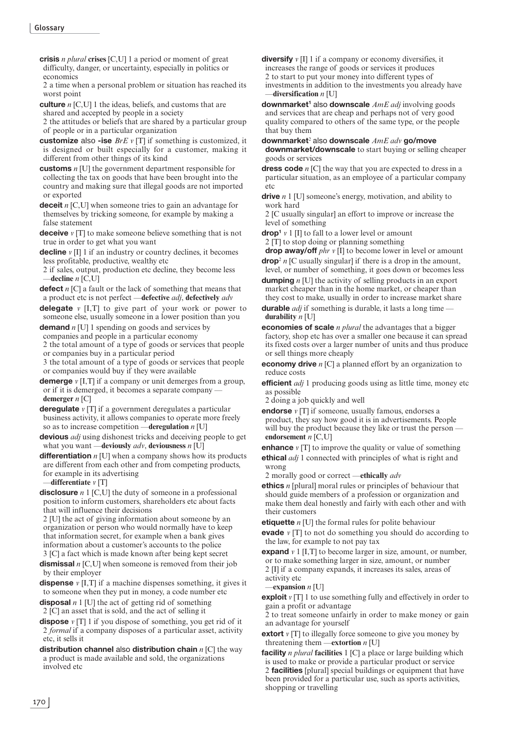**crisis** *n plural* **crises** [C,U] 1 a period or moment of great difficulty, danger, or uncertainty, especially in politics or economics

2 a time when a personal problem or situation has reached its worst point

**culture** *n* [C,U] 1 the ideas, beliefs, and customs that are shared and accepted by people in a society

2 the attitudes or beliefs that are shared by a particular group of people or in a particular organization

**customize** also **-ise** *BrE v* [T] if something is customized, it is designed or built especially for a customer, making it different from other things of its kind

**customs** *n* [U] the government department responsible for collecting the tax on goods that have been brought into the country and making sure that illegal goods are not imported or exported

**deceit** *n* [C,U] when someone tries to gain an advantage for themselves by tricking someone, for example by making a false statement

**deceive** *v* [T] to make someone believe something that is not true in order to get what you want

**decline** *v* [I] 1 if an industry or country declines, it becomes less profitable, productive, wealthy etc

2 if sales, output, production etc decline, they become less —**decline** *n* [C,U]

**defect** *n* [C] a fault or the lack of something that means that a product etc is not perfect —**defective** *adj*, **defectively** *adv*

**delegate** *v* [I,T] to give part of your work or power to someone else, usually someone in a lower position than you

**demand** *n* [U] 1 spending on goods and services by

companies and people in a particular economy 2 the total amount of a type of goods or services that people or companies buy in a particular period

3 the total amount of a type of goods or services that people or companies would buy if they were available

**demerge**  $\nu$  [I, T] if a company or unit demerges from a group, or if it is demerged, it becomes a separate company **demerger** *n* [C]

**deregulate** *v* [T] if a government deregulates a particular business activity, it allows companies to operate more freely so as to increase competition —**deregulation** *n* [U]

**devious** *adj* using dishonest tricks and deceiving people to get what you want —**deviously** *adv*, **deviousness** *n* [U]

**differentiation** *n* [U] when a company shows how its products are different from each other and from competing products, for example in its advertising

—**differentiate** *v* [T]

**disclosure** *n* 1 [C,U] the duty of someone in a professional position to inform customers, shareholders etc about facts that will influence their decisions

2 [U] the act of giving information about someone by an organization or person who would normally have to keep that information secret, for example when a bank gives information about a customer's accounts to the police 3 [C] a fact which is made known after being kept secret

**dismissal** *n* [C,U] when someone is removed from their job by their employer

**dispense** *v* [I,T] if a machine dispenses something, it gives it to someone when they put in money, a code number etc

**disposal** *n* 1 [U] the act of getting rid of something 2 [C] an asset that is sold, and the act of selling it

**dispose** *v* [T] 1 if you dispose of something, you get rid of it 2 *formal* if a company disposes of a particular asset, activity etc, it sells it

**distribution channel** also **distribution chain** *n* [C] the way a product is made available and sold, the organizations involved etc

**diversify** *v* [I] 1 if a company or economy diversifies, it increases the range of goods or services it produces 2 to start to put your money into different types of investments in addition to the investments you already have —**diversification** *n* [U]

**downmarket1** also **downscale** *AmE adj* involving goods and services that are cheap and perhaps not of very good quality compared to others of the same type, or the people that buy them

**downmarket**<sup>2</sup> also **downscale** *AmE adv* **go/move downmarket/downscale** to start buying or selling cheaper goods or services

**dress code** *n* [C] the way that you are expected to dress in a particular situation, as an employee of a particular company etc

**drive** *n* 1 [U] someone's energy, motivation, and ability to work hard

2 [C usually singular] an effort to improve or increase the level of something

**drop1** *v* 1 [I] to fall to a lower level or amount 2 [T] to stop doing or planning something **drop away/off** *phr v* [I] to become lower in level or amount

**drop**<sup>2</sup> *n* [C usually singular] if there is a drop in the amount,

level, or number of something, it goes down or becomes less **dumping** *n* [U] the activity of selling products in an export market cheaper than in the home market, or cheaper than

they cost to make, usually in order to increase market share **durable** *adj* if something is durable, it lasts a long time **durability** *n* [U]

**economies of scale** *n plural* the advantages that a bigger factory, shop etc has over a smaller one because it can spread its fixed costs over a larger number of units and thus produce or sell things more cheaply

**economy drive** *n* [C] a planned effort by an organization to reduce costs

**efficient** *adj* 1 producing goods using as little time, money etc as possible

2 doing a job quickly and well

**endorse** *v* [T] if someone, usually famous, endorses a product, they say how good it is in advertisements. People will buy the product because they like or trust the person **endorsement** *n* [C,U]

**enhance**  $v$  [T] to improve the quality or value of something

**ethical** *adj* 1 connected with principles of what is right and wrong

2 morally good or correct —**ethically** *adv*

**ethics** *n* [plural] moral rules or principles of behaviour that should guide members of a profession or organization and make them deal honestly and fairly with each other and with their customers

**etiquette** *n* [U] the formal rules for polite behaviour

**evade** *v* [T] to not do something you should do according to the law, for example to not pay tax

**expand** *v* 1 [I,T] to become larger in size, amount, or number, or to make something larger in size, amount, or number 2 [I] if a company expands, it increases its sales, areas of activity etc

—**expansion** *n* [U]

**exploit**  $v[T]$  1 to use something fully and effectively in order to gain a profit or advantage

2 to treat someone unfairly in order to make money or gain an advantage for yourself

**extort** *v* [T] to illegally force someone to give you money by threatening them **—extortion**  $n$  [U]

**facility** *n plural* **facilities** 1 [C] a place or large building which is used to make or provide a particular product or service 2 **facilities** [plural] special buildings or equipment that have been provided for a particular use, such as sports activities, shopping or travelling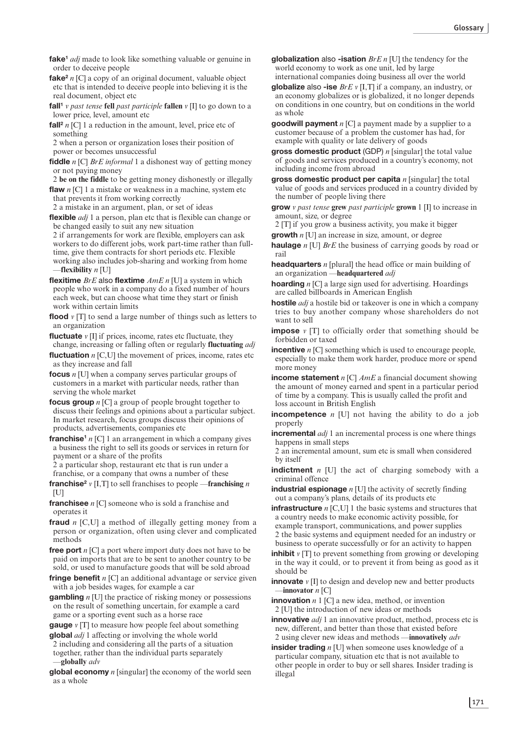- **fake1** *adj* made to look like something valuable or genuine in order to deceive people
- **fake<sup>2</sup>** *n* [C] a copy of an original document, valuable object etc that is intended to deceive people into believing it is the real document, object etc
- **fall1** *v past tense* **fell** *past participle* **fallen** *v* [I] to go down to a lower price, level, amount etc
- **fall<sup>2</sup>** *n* [C] 1 a reduction in the amount, level, price etc of something

2 when a person or organization loses their position of power or becomes unsuccessful

**fiddle** *n* [C] *BrE informal* 1 a dishonest way of getting money or not paying money

2 **be on the fiddle** to be getting money dishonestly or illegally **flaw** *n* [C] 1 a mistake or weakness in a machine, system etc that prevents it from working correctly

2 a mistake in an argument, plan, or set of ideas

**flexible** *adj* 1 a person, plan etc that is flexible can change or be changed easily to suit any new situation

2 if arrangements for work are flexible, employers can ask workers to do different jobs, work part-time rather than fulltime, give them contracts for short periods etc. Flexible working also includes job-sharing and working from home —**flexibility** *n* [U]

**flexitime** *BrE* also **flextime** *AmE n* [U] a system in which people who work in a company do a fixed number of hours each week, but can choose what time they start or finish work within certain limits

**flood**  $\nu$  [T] to send a large number of things such as letters to an organization

**fluctuate** *v* [I] if prices, income, rates etc fluctuate, they change, increasing or falling often or regularly **fluctuating** *adj*

**fluctuation** *n* [C,U] the movement of prices, income, rates etc as they increase and fall

**focus** *n* [U] when a company serves particular groups of customers in a market with particular needs, rather than serving the whole market

**focus group** *n* [C] a group of people brought together to discuss their feelings and opinions about a particular subject. In market research, focus groups discuss their opinions of products, advertisements, companies etc

**franchise<sup>1</sup>** *n* [C] 1 an arrangement in which a company gives a business the right to sell its goods or services in return for payment or a share of the profits

2 a particular shop, restaurant etc that is run under a franchise, or a company that owns a number of these

- **franchise**<sup>2</sup>  $\nu$  [I,T] to sell franchises to people —**franchising** *n*  $[U]$
- **franchisee** *n* [C] someone who is sold a franchise and operates it
- **fraud** *n* [C,U] a method of illegally getting money from a person or organization, often using clever and complicated methods

**free port** *n* [C] a port where import duty does not have to be paid on imports that are to be sent to another country to be sold, or used to manufacture goods that will be sold abroad

**fringe benefit** *n* [C] an additional advantage or service given with a job besides wages, for example a car

**gambling** *n* [U] the practice of risking money or possessions on the result of something uncertain, for example a card game or a sporting event such as a horse race

**gauge** *v* [T] to measure how people feel about something **global** *adj* 1 affecting or involving the whole world

2 including and considering all the parts of a situation together, rather than the individual parts separately —**globally** *adv*

**global economy** *n* [singular] the economy of the world seen as a whole

- **globalization** also **-isation** *BrE n* [U] the tendency for the world economy to work as one unit, led by large international companies doing business all over the world
- **globalize** also **-ise** *BrE v* [I,T] if a company, an industry, or an economy globalizes or is globalized, it no longer depends on conditions in one country, but on conditions in the world as whole

**goodwill payment** *n* [C] a payment made by a supplier to a customer because of a problem the customer has had, for example with quality or late delivery of goods

**gross domestic product** (GDP) *n* [singular] the total value of goods and services produced in a country's economy, not including income from abroad

**gross domestic product per capita** *n* [singular] the total value of goods and services produced in a country divided by the number of people living there

**grow** *v past tense* **grew** *past participle* **grown** 1 [I] to increase in amount, size, or degree

2 [T] if you grow a business activity, you make it bigger

**growth** *n* [U] an increase in size, amount, or degree

**haulage** *n* [U] *BrE* the business of carrying goods by road or rail

- **headquarters** *n* [plural] the head office or main building of an organization —**headquartered** *adj*
- **hoarding** *n* [C] a large sign used for advertising. Hoardings are called billboards in American English
- **hostile** *adj* a hostile bid or takeover is one in which a company tries to buy another company whose shareholders do not want to sell
- **impose** *v* [T] to officially order that something should be forbidden or taxed
- **incentive** *n* [C] something which is used to encourage people, especially to make them work harder, produce more or spend more money

**income statement** *n* [C] *AmE* a financial document showing the amount of money earned and spent in a particular period of time by a company. This is usually called the profit and loss account in British English

- **incompetence** *n* [U] not having the ability to do a job properly
- **incremental** *adj* 1 an incremental process is one where things happens in small steps

2 an incremental amount, sum etc is small when considered by itself

- **indictment** *n* [U] the act of charging somebody with a criminal offence
- **industrial espionage** *n* [U] the activity of secretly finding out a company's plans, details of its products etc

**infrastructure** *n* [C,U] 1 the basic systems and structures that a country needs to make economic activity possible, for example transport, communications, and power supplies 2 the basic systems and equipment needed for an industry or business to operate successfully or for an activity to happen

- **inhibit** *v* [T] to prevent something from growing or developing in the way it could, or to prevent it from being as good as it should be
- **innovate** *v* [I] to design and develop new and better products —**innovator** *n* [C]

**innovation** *n* 1 [C] a new idea, method, or invention 2 [U] the introduction of new ideas or methods

- **innovative** *adj* 1 an innovative product, method, process etc is new, different, and better than those that existed before 2 using clever new ideas and methods —**innovatively** *adv*
- **insider trading** *n* [U] when someone uses knowledge of a particular company, situation etc that is not available to other people in order to buy or sell shares. Insider trading is illegal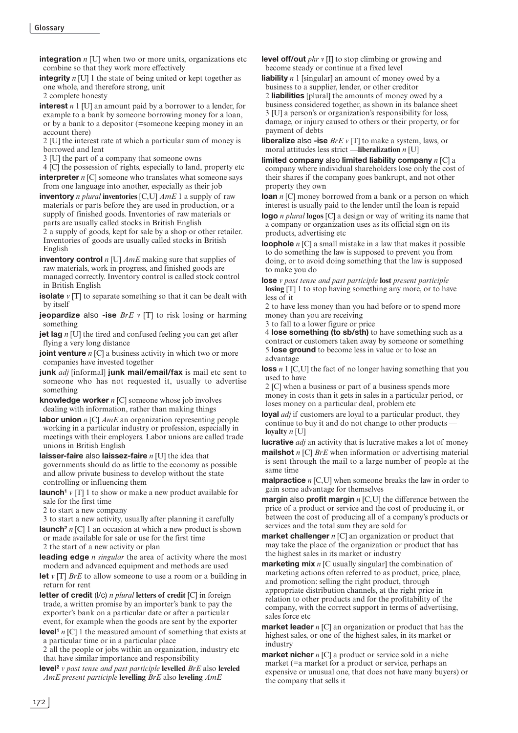English

**integration** *n* [U] when two or more units, organizations etc combine so that they work more effectively

**integrity** *n* [U] 1 the state of being united or kept together as one whole, and therefore strong, unit 2 complete honesty

**interest** *n* 1 [U] an amount paid by a borrower to a lender, for example to a bank by someone borrowing money for a loan, or by a bank to a depositor (=someone keeping money in an account there)

2 [U] the interest rate at which a particular sum of money is borrowed and lent

3 [U] the part of a company that someone owns

4 [C] the possession of rights, especially to land, property etc **interpreter** *n* [C] someone who translates what someone says from one language into another, especially as their job

**inventory** *n plural* **inventories** [C,U] *AmE* 1 a supply of raw materials or parts before they are used in production, or a supply of finished goods. Inventories of raw materials or parts are usually called stocks in British English 2 a supply of goods, kept for sale by a shop or other retailer. Inventories of goods are usually called stocks in British

**inventory control** *n* [U] *AmE* making sure that supplies of raw materials, work in progress, and finished goods are managed correctly. Inventory control is called stock control in British English

**isolate**  $v$  [T] to separate something so that it can be dealt with by itself

**jeopardize** also **-ise** *BrE v* [T] to risk losing or harming something

**jet lag** *n* [U] the tired and confused feeling you can get after flying a very long distance

**joint venture** *n* [C] a business activity in which two or more companies have invested together

**junk** *adj* [informal] **junk mail/email/fax** is mail etc sent to someone who has not requested it, usually to advertise something

**knowledge worker** *n* [C] someone whose job involves dealing with information, rather than making things

**labor union** *n* [C] *AmE* an organization representing people working in a particular industry or profession, especially in meetings with their employers. Labor unions are called trade unions in British English

**laisser-faire** also **laissez-faire** *n* [U] the idea that governments should do as little to the economy as possible and allow private business to develop without the state controlling or influencing them

**launch1** *v* [T] 1 to show or make a new product available for sale for the first time

2 to start a new company

3 to start a new activity, usually after planning it carefully **launch<sup>2</sup>** *n* [C] 1 an occasion at which a new product is shown

or made available for sale or use for the first time 2 the start of a new activity or plan

**leading edge** *n singular* the area of activity where the most modern and advanced equipment and methods are used

**let** *v* [T] *BrE* to allow someone to use a room or a building in return for rent

**letter of credit** (l/c) *n plural* **letters of credit** [C] in foreign trade, a written promise by an importer's bank to pay the exporter's bank on a particular date or after a particular event, for example when the goods are sent by the exporter

**level<sup>1</sup>** *n* [C] 1 the measured amount of something that exists at a particular time or in a particular place

2 all the people or jobs within an organization, industry etc that have similar importance and responsibility

**level2** *v past tense and past participle* **levelled** *BrE* also **leveled** *AmE present participle* **levelling** *BrE* also **leveling** *AmE*

**level off/out** *phr v* [I] to stop climbing or growing and become steady or continue at a fixed level

**liability** *n* 1 [singular] an amount of money owed by a business to a supplier, lender, or other creditor 2 **liabilities** [plural] the amounts of money owed by a business considered together, as shown in its balance sheet 3 [U] a person's or organization's responsibility for loss, damage, or injury caused to others or their property, or for payment of debts

**liberalize** also **-ise** *BrE v* [T] to make a system, laws, or moral attitudes less strict —**liberalization** *n* [U]

**limited company** also **limited liability company** *n* [C] a company where individual shareholders lose only the cost of their shares if the company goes bankrupt, and not other property they own

**loan** *n* [C] money borrowed from a bank or a person on which interest is usually paid to the lender until the loan is repaid

**logo** *n plural* **logos** [C] a design or way of writing its name that a company or organization uses as its official sign on its products, advertising etc

**loophole** *n* [C] a small mistake in a law that makes it possible to do something the law is supposed to prevent you from doing, or to avoid doing something that the law is supposed to make you do

**lose** *v past tense and past participle* **lost** *present participle* **losing** [T] 1 to stop having something any more, or to have less of it

2 to have less money than you had before or to spend more money than you are receiving

3 to fall to a lower figure or price

4 **lose something (to sb/sth)** to have something such as a contract or customers taken away by someone or something 5 **lose ground** to become less in value or to lose an advantage

**loss** *n* 1 [C,U] the fact of no longer having something that you used to have

2 [C] when a business or part of a business spends more money in costs than it gets in sales in a particular period, or loses money on a particular deal, problem etc

**loyal** *adj* if customers are loyal to a particular product, they continue to buy it and do not change to other products **loyalty** *n* [U]

**lucrative** *adj* an activity that is lucrative makes a lot of money **mailshot** *n* [C] *BrE* when information or advertising material is sent through the mail to a large number of people at the same time

**malpractice** *n* [C,U] when someone breaks the law in order to gain some advantage for themselves

**margin** also **profit margin** *n* [C,U] the difference between the price of a product or service and the cost of producing it, or between the cost of producing all of a company's products or services and the total sum they are sold for

**market challenger** *n* [C] an organization or product that may take the place of the organization or product that has the highest sales in its market or industry

**marketing mix** *n* [C usually singular] the combination of marketing actions often referred to as product, price, place, and promotion: selling the right product, through appropriate distribution channels, at the right price in relation to other products and for the profitability of the company, with the correct support in terms of advertising, sales force etc

**market leader** *n* [C] an organization or product that has the highest sales, or one of the highest sales, in its market or industry

**market nicher** *n* [C] a product or service sold in a niche market (=a market for a product or service, perhaps an expensive or unusual one, that does not have many buyers) or the company that sells it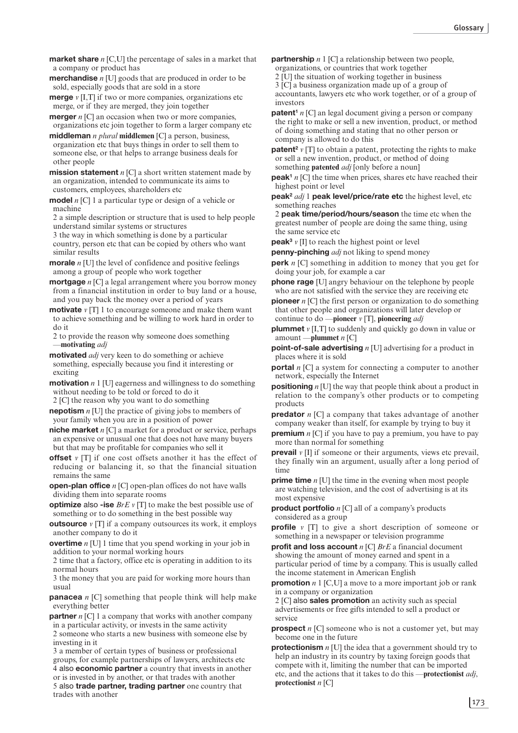**market share** *n* [C,U] the percentage of sales in a market that a company or product has

**merchandise** *n* [U] goods that are produced in order to be sold, especially goods that are sold in a store

**merge** *v* [I,T] if two or more companies, organizations etc merge, or if they are merged, they join together

**merger** *n* [C] an occasion when two or more companies, organizations etc join together to form a larger company etc

**middleman** *n plural* **middlemen** [C] a person, business, organization etc that buys things in order to sell them to someone else, or that helps to arrange business deals for other people

**mission statement** *n* [C] a short written statement made by an organization, intended to communicate its aims to customers, employees, shareholders etc

**model** *n* [C] 1 a particular type or design of a vehicle or machine

2 a simple description or structure that is used to help people understand similar systems or structures

3 the way in which something is done by a particular country, person etc that can be copied by others who want similar results

**morale** *n* [U] the level of confidence and positive feelings among a group of people who work together

**mortgage** *n* [C] a legal arrangement where you borrow money from a financial institution in order to buy land or a house, and you pay back the money over a period of years

**motivate** *v* [T] 1 to encourage someone and make them want to achieve something and be willing to work hard in order to do it

2 to provide the reason why someone does something —**motivating** *adj*

**motivated** *adj* very keen to do something or achieve something, especially because you find it interesting or exciting

**motivation** *n* 1 [U] eagerness and willingness to do something without needing to be told or forced to do it

2 [C] the reason why you want to do something

**nepotism** *n* [U] the practice of giving jobs to members of your family when you are in a position of power

**niche market** *n* [C] a market for a product or service, perhaps an expensive or unusual one that does not have many buyers but that may be profitable for companies who sell it

**offset** *v* [T] if one cost offsets another it has the effect of reducing or balancing it, so that the financial situation remains the same

**open-plan office** *n* [C] open-plan offices do not have walls dividing them into separate rooms

**optimize** also **-ise** *BrE v* [T] to make the best possible use of something or to do something in the best possible way

**outsource** *v* [T] if a company outsources its work, it employs another company to do it

**overtime** *n* [U] 1 time that you spend working in your job in addition to your normal working hours

2 time that a factory, office etc is operating in addition to its normal hours

3 the money that you are paid for working more hours than usual

**panacea** *n* [C] something that people think will help make everything better

**partner** *n* [C] 1 a company that works with another company in a particular activity, or invests in the same activity 2 someone who starts a new business with someone else by investing in it

3 a member of certain types of business or professional groups, for example partnerships of lawyers, architects etc 4 also **economic partner** a country that invests in another or is invested in by another, or that trades with another 5 also **trade partner, trading partner** one country that trades with another

**partnership** *n* 1 [C] a relationship between two people,

organizations, or countries that work together

2 [U] the situation of working together in business 3 [C] a business organization made up of a group of

accountants, lawyers etc who work together, or of a group of investors

**patent<sup>1</sup>** *n* [C] an legal document giving a person or company the right to make or sell a new invention, product, or method of doing something and stating that no other person or company is allowed to do this

**patent**<sup>2</sup>  $\nu$  [T] to obtain a patent, protecting the rights to make or sell a new invention, product, or method of doing something **patented** *adj* [only before a noun]

**peak<sup>1</sup>** *n* [C] the time when prices, shares etc have reached their highest point or level

**peak2** *adj* 1 **peak level/price/rate etc** the highest level, etc something reaches

2 **peak time/period/hours/season** the time etc when the greatest number of people are doing the same thing, using the same service etc

**peak**<sup>3</sup>  $\nu$  [I] to reach the highest point or level

**penny-pinching** *adj* not liking to spend money

**perk** *n* [C] something in addition to money that you get for doing your job, for example a car

**phone rage** [U] angry behaviour on the telephone by people who are not satisfied with the service they are receiving etc.

**pioneer** *n* [C] the first person or organization to do something that other people and organizations will later develop or continue to do —**pioneer** *v* [T], **pioneering** *adj*

**plummet** *v* [I,T] to suddenly and quickly go down in value or amount —**plummet** *n* [C]

**point-of-sale advertising** *n* [U] advertising for a product in places where it is sold

**portal** *n* [C] a system for connecting a computer to another network, especially the Internet

**positioning** *n* [U] the way that people think about a product in relation to the company's other products or to competing products

**predator** *n* [C] a company that takes advantage of another company weaker than itself, for example by trying to buy it

**premium** *n* [C] if you have to pay a premium, you have to pay more than normal for something

**prevail** *v* [I] if someone or their arguments, views etc prevail, they finally win an argument, usually after a long period of time

**prime time** *n* [U] the time in the evening when most people are watching television, and the cost of advertising is at its most expensive

**product portfolio** *n* [C] all of a company's products considered as a group

**profile** *v* [T] to give a short description of someone or something in a newspaper or television programme

**profit and loss account** *n* [C] *BrE* a financial document showing the amount of money earned and spent in a particular period of time by a company. This is usually called the income statement in American English

**promotion** *n* 1 [C,U] a move to a more important job or rank in a company or organization

2 [C] also **sales promotion** an activity such as special advertisements or free gifts intended to sell a product or service

**prospect** *n* [C] someone who is not a customer yet, but may become one in the future

**protectionism** *n* [U] the idea that a government should try to help an industry in its country by taxing foreign goods that compete with it, limiting the number that can be imported etc, and the actions that it takes to do this —**protectionist** *adj*, **protectionist** *n* [C]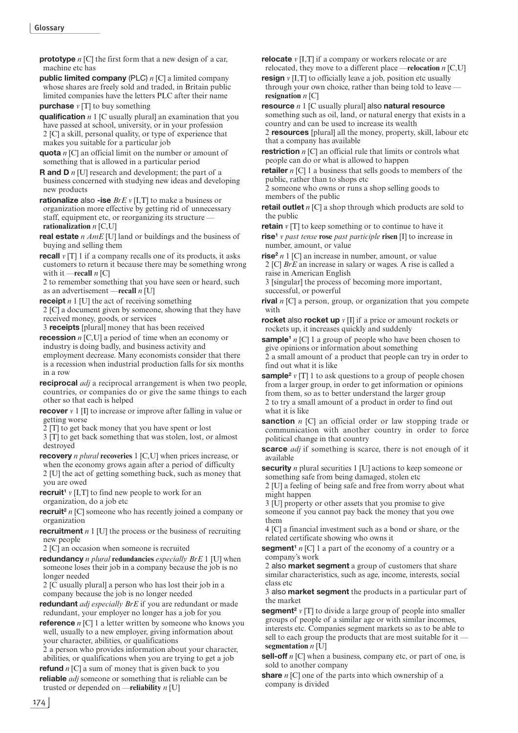**prototype** *n* [C] the first form that a new design of a car, machine etc has

**public limited company** (PLC) *n* [C] a limited company whose shares are freely sold and traded, in Britain public limited companies have the letters PLC after their name

**purchase**  $v[T]$  to buy something

**qualification** *n* 1 [C usually plural] an examination that you have passed at school, university, or in your profession 2 [C] a skill, personal quality, or type of experience that makes you suitable for a particular job

**quota** *n* [C] an official limit on the number or amount of something that is allowed in a particular period

**R and D** *n* [U] research and development; the part of a business concerned with studying new ideas and developing new products

**rationalize** also **-ise** *BrE v* [I,T] to make a business or organization more effective by getting rid of unnecessary staff, equipment etc, or reorganizing its structure **rationalization** *n* [C,U]

**real estate** *n AmE* [U] land or buildings and the business of buying and selling them

**recall**  $v$  [T] 1 if a company recalls one of its products, it asks customers to return it because there may be something wrong with it —**recall** *n* [C]

2 to remember something that you have seen or heard, such as an advertisement —**recall** *n* [U]

**receipt** *n* 1 [U] the act of receiving something

2 [C] a document given by someone, showing that they have received money, goods, or services

3 **receipts** [plural] money that has been received

**recession** *n* [C,U] a period of time when an economy or industry is doing badly, and business activity and employment decrease. Many economists consider that there is a recession when industrial production falls for six months in a row

**reciprocal** *adj* a reciprocal arrangement is when two people, countries, or companies do or give the same things to each other so that each is helped

**recover** *v* 1 [I] to increase or improve after falling in value or getting worse

2 [T] to get back money that you have spent or lost

3 [T] to get back something that was stolen, lost, or almost destroyed

**recovery** *n plural* **recoveries** 1 [C,U] when prices increase, or when the economy grows again after a period of difficulty 2 [U] the act of getting something back, such as money that you are owed

**recruit**<sup>1</sup>  $\nu$  [I,T] to find new people to work for an organization, do a job etc

**recruit<sup>2</sup>** *n* [C] someone who has recently joined a company or organization

**recruitment** *n* 1 [U] the process or the business of recruiting new people

2 [C] an occasion when someone is recruited

**redundancy** *n plural* **redundancies** *especially BrE* 1 [U] when someone loses their job in a company because the job is no longer needed

2 [C usually plural] a person who has lost their job in a company because the job is no longer needed

**redundant** *adj especially BrE* if you are redundant or made redundant, your employer no longer has a job for you

**reference** *n* [C] 1 a letter written by someone who knows you well, usually to a new employer, giving information about your character, abilities, or qualifications

2 a person who provides information about your character, abilities, or qualifications when you are trying to get a job

**refund** *n* [C] a sum of money that is given back to you **reliable** *adj* someone or something that is reliable can be

trusted or depended on —**reliability** *n* [U]

**relocate** *v* [I,T] if a company or workers relocate or are relocated, they move to a different place —**relocation** *n* [C,U]

**resign** *v* [I,T] to officially leave a job, position etc usually through your own choice, rather than being told to leave **resignation** *n* [C]

**resource** *n* 1 [C usually plural] also **natural resource** something such as oil, land, or natural energy that exists in a country and can be used to increase its wealth 2 **resources** [plural] all the money, property, skill, labour etc that a company has available

**restriction** *n* [C] an official rule that limits or controls what people can do or what is allowed to happen

**retailer** *n* [C] 1 a business that sells goods to members of the public, rather than to shops etc

2 someone who owns or runs a shop selling goods to members of the public

**retail outlet** *n* [C] a shop through which products are sold to the public

**retain**  $v$  [T] to keep something or to continue to have it

**rise1** *v past tense* **rose** *past participle* **risen** [I] to increase in number, amount, or value

**rise**<sup>2</sup> *n* 1 [C] an increase in number, amount, or value 2 [C] *BrE* an increase in salary or wages. A rise is called a raise in American English

3 [singular] the process of becoming more important, successful, or powerful

**rival** *n* [C] a person, group, or organization that you compete with

**rocket** also **rocket up** *v* [I] if a price or amount rockets or rockets up, it increases quickly and suddenly

**sample<sup>1</sup>** *n* [C] 1 a group of people who have been chosen to give opinions or information about something

2 a small amount of a product that people can try in order to find out what it is like

**sample<sup>2</sup>** *v* [T] 1 to ask questions to a group of people chosen from a larger group, in order to get information or opinions from them, so as to better understand the larger group 2 to try a small amount of a product in order to find out what it is like

**sanction** *n* [C] an official order or law stopping trade or communication with another country in order to force political change in that country

**scarce** *adj* if something is scarce, there is not enough of it available

**security** *n* plural securities 1 [U] actions to keep someone or something safe from being damaged, stolen etc

2 [U] a feeling of being safe and free from worry about what might happen

3 [U] property or other assets that you promise to give someone if you cannot pay back the money that you owe them

4 [C] a financial investment such as a bond or share, or the related certificate showing who owns it

**segment**<sup>1</sup> *n* [C] 1 a part of the economy of a country or a company's work

2 also **market segment** a group of customers that share similar characteristics, such as age, income, interests, social class etc

3 also **market segment** the products in a particular part of the market

**segment**<sup>2</sup> *v* [T] to divide a large group of people into smaller groups of people of a similar age or with similar incomes, interests etc. Companies segment markets so as to be able to sell to each group the products that are most suitable for it **segmentation** *n* [U]

- **sell-off** *n* [C] when a business, company etc, or part of one, is sold to another company
- **share** *n* [C] one of the parts into which ownership of a company is divided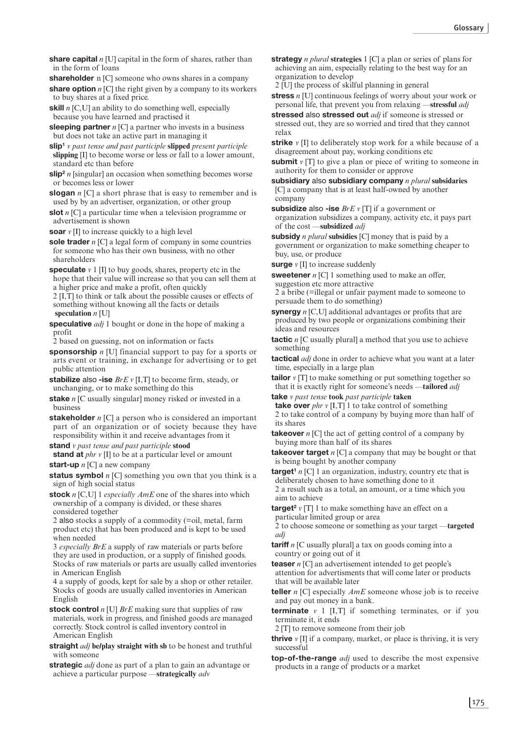**share capital** *n* [U] capital in the form of shares, rather than in the form of loans

**shareholder** n [C] someone who owns shares in a company

**share option** *n* [C] the right given by a company to its workers to buy shares at a fixed price.

**skill** *n* [C,U] an ability to do something well, especially because you have learned and practised it

**sleeping partner** *n* [C] a partner who invests in a business but does not take an active part in managing it

**slip1** *v past tense and past participle* **slipped** *present participle* **slipping** [I] to become worse or less or fall to a lower amount, standard etc than before

**slip<sup>2</sup>** *n* [singular] an occasion when something becomes worse or becomes less or lower

**slogan** *n* [C] a short phrase that is easy to remember and is used by by an advertiser, organization, or other group

**slot** *n* [C] a particular time when a television programme or advertisement is shown

**soar** *v* [I] to increase quickly to a high level

**sole trader** *n* [C] a legal form of company in some countries for someone who has their own business, with no other shareholders

**speculate** *v* 1 [I] to buy goods, shares, property etc in the hope that their value will increase so that you can sell them at a higher price and make a profit, often quickly

2 [I,T] to think or talk about the possible causes or effects of something without knowing all the facts or details **speculation** *n* [U]

**speculative** *adj* 1 bought or done in the hope of making a profit

2 based on guessing, not on information or facts

**sponsorship** *n* [U] financial support to pay for a sports or arts event or training, in exchange for advertising or to get public attention

**stabilize** also **-ise** *BrE v* [I,T] to become firm, steady, or unchanging, or to make something do this

**stake** *n* [C usually singular] money risked or invested in a business

**stakeholder** *n* [C] a person who is considered an important part of an organization or of society because they have responsibility within it and receive advantages from it

**stand** *v past tense and past participle* **stood stand at** *phr v* [I] to be at a particular level or amount

**start-up** *n* [C] a new company

**status symbol** *n* [C] something you own that you think is a sign of high social status

**stock** *n* [C,U] 1 *especially AmE* one of the shares into which ownership of a company is divided, or these shares considered together

2 also stocks a supply of a commodity (=oil, metal, farm product etc) that has been produced and is kept to be used when needed

3 *especially BrE* a supply of raw materials or parts before they are used in production, or a supply of finished goods. Stocks of raw materials or parts are usually called inventories in American English

4 a supply of goods, kept for sale by a shop or other retailer. Stocks of goods are usually called inventories in American English

**stock control** *n* [U] *BrE* making sure that supplies of raw materials, work in progress, and finished goods are managed correctly. Stock control is called inventory control in American English

**straight** *adj* **be/play straight with sb** to be honest and truthful with someone

**strategic** *adj* done as part of a plan to gain an advantage or achieve a particular purpose —**strategically** *adv*

**strategy** *n plural* **strategies** 1 [C] a plan or series of plans for achieving an aim, especially relating to the best way for an organization to develop

2 [U] the process of skilful planning in general

- **stress** *n* [U] continuous feelings of worry about your work or personal life, that prevent you from relaxing —**stressful** *adj*
- **stressed** also **stressed out** *adj* if someone is stressed or stressed out, they are so worried and tired that they cannot relax

**strike** *v* [I] to deliberately stop work for a while because of a disagreement about pay, working conditions etc

**submit** *v* [T] to give a plan or piece of writing to someone in authority for them to consider or approve

**subsidiary** also **subsidiary company** *n plural* **subsidaries** [C] a company that is at least half-owned by another company

**subsidize** also **-ise** *BrE v* [T] if a government or organization subsidizes a company, activity etc, it pays part of the cost —**subsidized** *adj*

**subsidy** *n plural* **subsidies** [C] money that is paid by a government or organization to make something cheaper to buy, use, or produce

**surge** *v* [I] to increase suddenly

**sweetener** *n* [C] 1 something used to make an offer, suggestion etc more attractive

2 a bribe (=illegal or unfair payment made to someone to persuade them to do something)

**synergy** *n* [C,U] additional advantages or profits that are produced by two people or organizations combining their ideas and resources

**tactic** *n* [C usually plural] a method that you use to achieve something

**tactical** *adj* done in order to achieve what you want at a later time, especially in a large plan

**tailor** *v* [T] to make something or put something together so that it is exactly right for someone's needs —**tailored** *adj*

**take** *v past tense* **took** *past participle* **taken**

**take over** *phr v* [I,T] 1 to take control of something 2 to take control of a company by buying more than half of its shares

**takeover** *n* [C] the act of getting control of a company by buying more than half of its shares

**takeover target** *n* [C] a company that may be bought or that is being bought by another company

**target<sup>1</sup>** *n* [C] 1 an organization, industry, country etc that is deliberately chosen to have something done to it

2 a result such as a total, an amount, or a time which you aim to achieve

**target**<sup>2</sup>  $\nu$  [T] 1 to make something have an effect on a particular limited group or area

2 to choose someone or something as your target —**targeted** *adj*

**tariff** *n* [C usually plural] a tax on goods coming into a country or going out of it

**teaser** *n* [C] an advertisement intended to get people's attention for advertisments that will come later or products that will be available later

- **teller** *n* [C] especially *AmE* someone whose job is to receive and pay out money in a bank.
- **terminate** *v* 1 [I,T] if something terminates, or if you terminate it, it ends

2 [T] to remove someone from their job

**thrive** *v* [I] if a company, market, or place is thriving, it is very successful

**top-of-the-range** *adj* used to describe the most expensive products in a range of products or a market